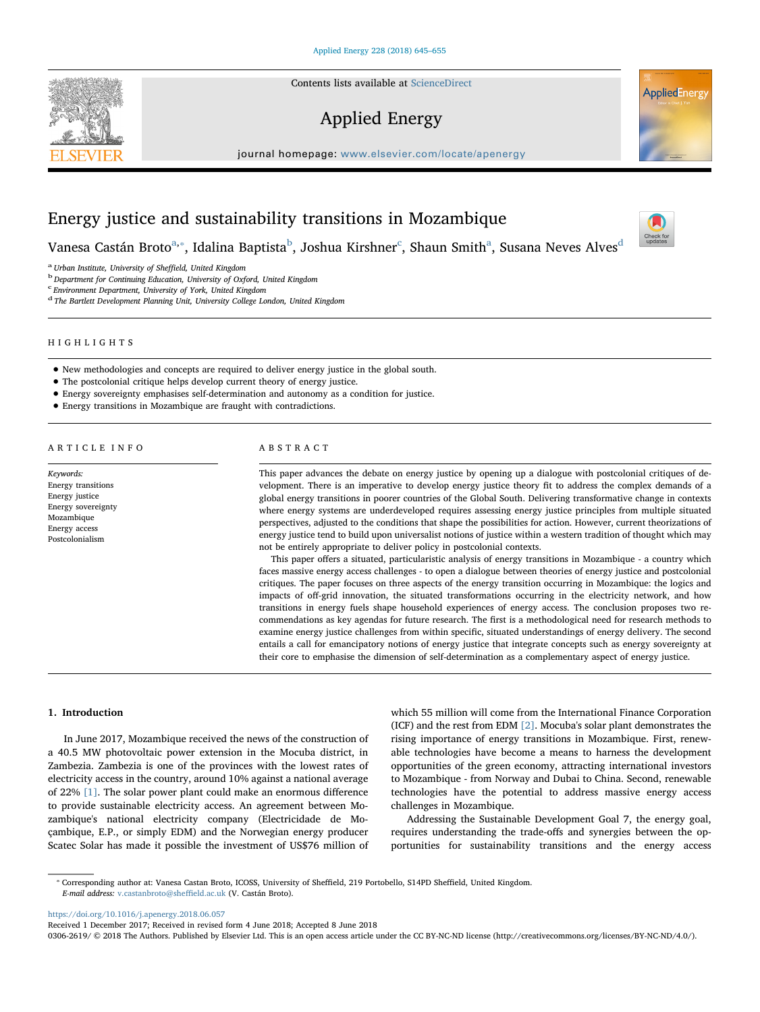Contents lists available at [ScienceDirect](http://www.sciencedirect.com/science/journal/03062619)

# Applied Energy

journal homepage: [www.elsevier.com/locate/apenergy](https://www.elsevier.com/locate/apenergy)



V[a](#page-0-0)nesa Castán Broto $^\text{a, *},$  $^\text{a, *},$  $^\text{a, *},$  I[d](#page-0-4)alina Baptista $^\text{b}$  $^\text{b}$  $^\text{b}$ , Joshua Kirshner $^\text{c}$  $^\text{c}$  $^\text{c}$ , Shaun Smith $^\text{a}$ , Susana Neves Alves $^\text{d}$ 

<span id="page-0-2"></span>

<span id="page-0-0"></span> $^{\rm a}$  Urban Institute, University of Sheffield, United Kingdom b<br/> $^{\rm b}$ Department for Continuing Education, University of Oxford, United Kingdom

<span id="page-0-3"></span>c Environment Department, University of York, United Kingdom

<span id="page-0-4"></span><sup>d</sup> The Bartlett Development Planning Unit, University College London, United Kingdom

# HIGHLIGHTS

- New methodologies and concepts are required to deliver energy justice in the global south.
- The postcolonial critique helps develop current theory of energy justice.
- Energy sovereignty emphasises self-determination and autonomy as a condition for justice.
- Energy transitions in Mozambique are fraught with contradictions.

#### ARTICLE INFO

Keywords: Energy transitions Energy justice Energy sovereignty Mozambique Energy access Postcolonialism

#### ABSTRACT

This paper advances the debate on energy justice by opening up a dialogue with postcolonial critiques of development. There is an imperative to develop energy justice theory fit to address the complex demands of a global energy transitions in poorer countries of the Global South. Delivering transformative change in contexts where energy systems are underdeveloped requires assessing energy justice principles from multiple situated perspectives, adjusted to the conditions that shape the possibilities for action. However, current theorizations of energy justice tend to build upon universalist notions of justice within a western tradition of thought which may not be entirely appropriate to deliver policy in postcolonial contexts.

This paper offers a situated, particularistic analysis of energy transitions in Mozambique - a country which faces massive energy access challenges - to open a dialogue between theories of energy justice and postcolonial critiques. The paper focuses on three aspects of the energy transition occurring in Mozambique: the logics and impacts of off-grid innovation, the situated transformations occurring in the electricity network, and how transitions in energy fuels shape household experiences of energy access. The conclusion proposes two recommendations as key agendas for future research. The first is a methodological need for research methods to examine energy justice challenges from within specific, situated understandings of energy delivery. The second entails a call for emancipatory notions of energy justice that integrate concepts such as energy sovereignty at their core to emphasise the dimension of self-determination as a complementary aspect of energy justice.

#### 1. Introduction

In June 2017, Mozambique received the news of the construction of a 40.5 MW photovoltaic power extension in the Mocuba district, in Zambezia. Zambezia is one of the provinces with the lowest rates of electricity access in the country, around 10% against a national average of 22% [\[1\].](#page-9-0) The solar power plant could make an enormous difference to provide sustainable electricity access. An agreement between Mozambique's national electricity company (Electricidade de Moçambique, E.P., or simply EDM) and the Norwegian energy producer Scatec Solar has made it possible the investment of US\$76 million of which 55 million will come from the International Finance Corporation (ICF) and the rest from EDM [\[2\]](#page-9-1). Mocuba's solar plant demonstrates the rising importance of energy transitions in Mozambique. First, renewable technologies have become a means to harness the development opportunities of the green economy, attracting international investors to Mozambique - from Norway and Dubai to China. Second, renewable technologies have the potential to address massive energy access challenges in Mozambique.

Addressing the Sustainable Development Goal 7, the energy goal, requires understanding the trade-offs and synergies between the opportunities for sustainability transitions and the energy access

<span id="page-0-1"></span>⁎ Corresponding author at: Vanesa Castan Broto, ICOSS, University of Sheffield, 219 Portobello, S14PD Sheffield, United Kingdom. E-mail address: [v.castanbroto@she](mailto:v.castanbroto@sheffield.ac.uk)ffield.ac.uk (V. Castán Broto).

<https://doi.org/10.1016/j.apenergy.2018.06.057>

0306-2619/ © 2018 The Authors. Published by Elsevier Ltd. This is an open access article under the CC BY-NC-ND license (http://creativecommons.org/licenses/BY-NC-ND/4.0/).





Check for<br>updates

Received 1 December 2017; Received in revised form 4 June 2018; Accepted 8 June 2018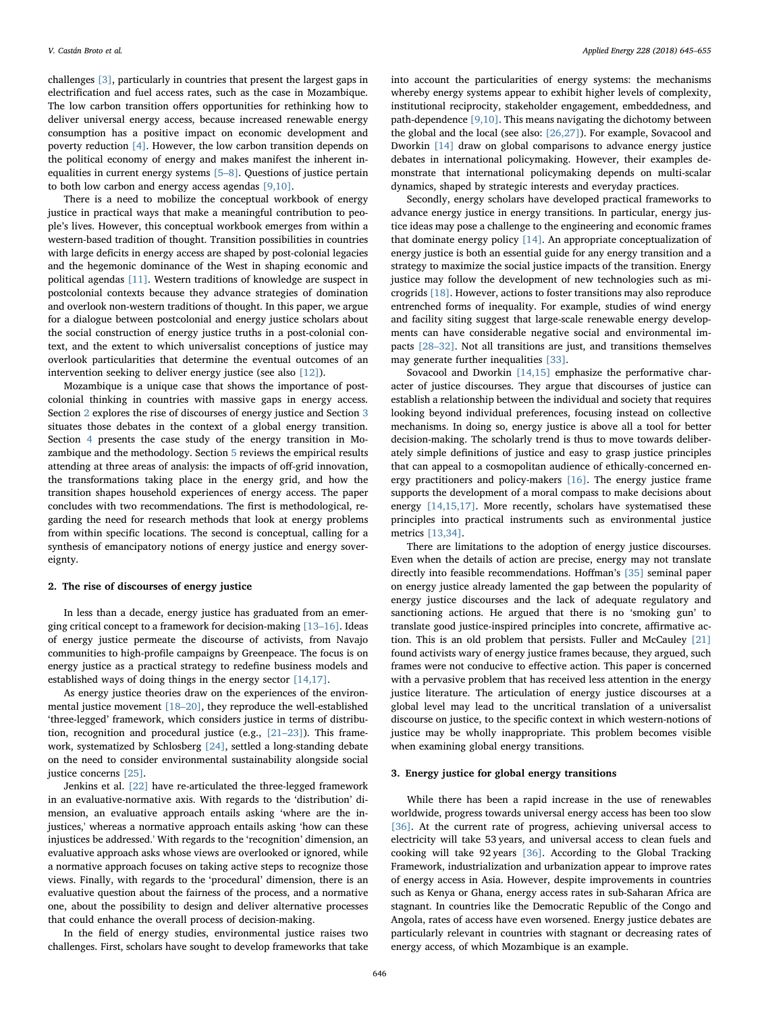challenges [\[3\],](#page-9-2) particularly in countries that present the largest gaps in electrification and fuel access rates, such as the case in Mozambique. The low carbon transition offers opportunities for rethinking how to deliver universal energy access, because increased renewable energy consumption has a positive impact on economic development and poverty reduction [\[4\].](#page-9-3) However, the low carbon transition depends on the political economy of energy and makes manifest the inherent inequalities in current energy systems [5–[8\]](#page-9-4). Questions of justice pertain to both low carbon and energy access agendas [\[9,10\].](#page-9-5)

There is a need to mobilize the conceptual workbook of energy justice in practical ways that make a meaningful contribution to people's lives. However, this conceptual workbook emerges from within a western-based tradition of thought. Transition possibilities in countries with large deficits in energy access are shaped by post-colonial legacies and the hegemonic dominance of the West in shaping economic and political agendas [\[11\].](#page-9-6) Western traditions of knowledge are suspect in postcolonial contexts because they advance strategies of domination and overlook non-western traditions of thought. In this paper, we argue for a dialogue between postcolonial and energy justice scholars about the social construction of energy justice truths in a post-colonial context, and the extent to which universalist conceptions of justice may overlook particularities that determine the eventual outcomes of an intervention seeking to deliver energy justice (see also [\[12\]](#page-9-7)).

Mozambique is a unique case that shows the importance of postcolonial thinking in countries with massive gaps in energy access. Section [2](#page-1-0) explores the rise of discourses of energy justice and Section [3](#page-1-1) situates those debates in the context of a global energy transition. Section [4](#page-3-0) presents the case study of the energy transition in Mozambique and the methodology. Section [5](#page-4-0) reviews the empirical results attending at three areas of analysis: the impacts of off-grid innovation, the transformations taking place in the energy grid, and how the transition shapes household experiences of energy access. The paper concludes with two recommendations. The first is methodological, regarding the need for research methods that look at energy problems from within specific locations. The second is conceptual, calling for a synthesis of emancipatory notions of energy justice and energy sovereignty.

# <span id="page-1-0"></span>2. The rise of discourses of energy justice

In less than a decade, energy justice has graduated from an emerging critical concept to a framework for decision-making [13–[16\]](#page-9-8). Ideas of energy justice permeate the discourse of activists, from Navajo communities to high-profile campaigns by Greenpeace. The focus is on energy justice as a practical strategy to redefine business models and established ways of doing things in the energy sector [\[14,17\].](#page-9-9)

As energy justice theories draw on the experiences of the environmental justice movement [18–[20\],](#page-9-10) they reproduce the well-established 'three-legged' framework, which considers justice in terms of distribution, recognition and procedural justice (e.g., [21–[23\]\)](#page-10-0). This framework, systematized by Schlosberg [\[24\]](#page-10-1), settled a long-standing debate on the need to consider environmental sustainability alongside social justice concerns [\[25\]](#page-10-2).

Jenkins et al. [\[22\]](#page-10-3) have re-articulated the three-legged framework in an evaluative-normative axis. With regards to the 'distribution' dimension, an evaluative approach entails asking 'where are the injustices,' whereas a normative approach entails asking 'how can these injustices be addressed.' With regards to the 'recognition' dimension, an evaluative approach asks whose views are overlooked or ignored, while a normative approach focuses on taking active steps to recognize those views. Finally, with regards to the 'procedural' dimension, there is an evaluative question about the fairness of the process, and a normative one, about the possibility to design and deliver alternative processes that could enhance the overall process of decision-making.

In the field of energy studies, environmental justice raises two challenges. First, scholars have sought to develop frameworks that take into account the particularities of energy systems: the mechanisms whereby energy systems appear to exhibit higher levels of complexity, institutional reciprocity, stakeholder engagement, embeddedness, and path-dependence [\[9,10\]](#page-9-5). This means navigating the dichotomy between the global and the local (see also: [\[26,27\]\)](#page-10-4). For example, Sovacool and Dworkin [\[14\]](#page-9-9) draw on global comparisons to advance energy justice debates in international policymaking. However, their examples demonstrate that international policymaking depends on multi-scalar dynamics, shaped by strategic interests and everyday practices.

Secondly, energy scholars have developed practical frameworks to advance energy justice in energy transitions. In particular, energy justice ideas may pose a challenge to the engineering and economic frames that dominate energy policy [\[14\]](#page-9-9). An appropriate conceptualization of energy justice is both an essential guide for any energy transition and a strategy to maximize the social justice impacts of the transition. Energy justice may follow the development of new technologies such as microgrids [\[18\].](#page-9-10) However, actions to foster transitions may also reproduce entrenched forms of inequality. For example, studies of wind energy and facility siting suggest that large-scale renewable energy developments can have considerable negative social and environmental impacts [28–[32\].](#page-10-5) Not all transitions are just, and transitions themselves may generate further inequalities [\[33\].](#page-10-6)

Sovacool and Dworkin [\[14,15\]](#page-9-9) emphasize the performative character of justice discourses. They argue that discourses of justice can establish a relationship between the individual and society that requires looking beyond individual preferences, focusing instead on collective mechanisms. In doing so, energy justice is above all a tool for better decision-making. The scholarly trend is thus to move towards deliberately simple definitions of justice and easy to grasp justice principles that can appeal to a cosmopolitan audience of ethically-concerned energy practitioners and policy-makers [\[16\].](#page-9-11) The energy justice frame supports the development of a moral compass to make decisions about energy [\[14,15,17\].](#page-9-9) More recently, scholars have systematised these principles into practical instruments such as environmental justice metrics [\[13,34\].](#page-9-8)

There are limitations to the adoption of energy justice discourses. Even when the details of action are precise, energy may not translate directly into feasible recommendations. Hoffman's [\[35\]](#page-10-7) seminal paper on energy justice already lamented the gap between the popularity of energy justice discourses and the lack of adequate regulatory and sanctioning actions. He argued that there is no 'smoking gun' to translate good justice-inspired principles into concrete, affirmative action. This is an old problem that persists. Fuller and McCauley [\[21\]](#page-10-0) found activists wary of energy justice frames because, they argued, such frames were not conducive to effective action. This paper is concerned with a pervasive problem that has received less attention in the energy justice literature. The articulation of energy justice discourses at a global level may lead to the uncritical translation of a universalist discourse on justice, to the specific context in which western-notions of justice may be wholly inappropriate. This problem becomes visible when examining global energy transitions.

# <span id="page-1-1"></span>3. Energy justice for global energy transitions

While there has been a rapid increase in the use of renewables worldwide, progress towards universal energy access has been too slow [\[36\]](#page-10-8). At the current rate of progress, achieving universal access to electricity will take 53 years, and universal access to clean fuels and cooking will take 92 years [\[36\]](#page-10-8). According to the Global Tracking Framework, industrialization and urbanization appear to improve rates of energy access in Asia. However, despite improvements in countries such as Kenya or Ghana, energy access rates in sub-Saharan Africa are stagnant. In countries like the Democratic Republic of the Congo and Angola, rates of access have even worsened. Energy justice debates are particularly relevant in countries with stagnant or decreasing rates of energy access, of which Mozambique is an example.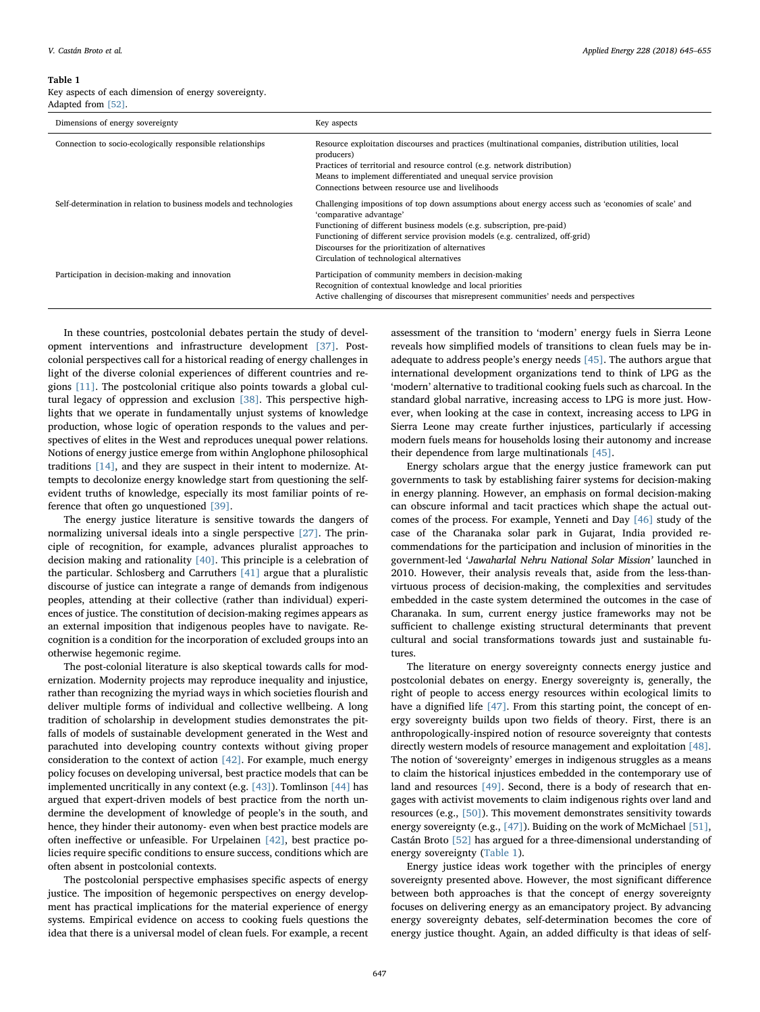#### <span id="page-2-0"></span>Table 1

Key aspects of each dimension of energy sovereignty. Adapted from [\[52\]](#page-10-25).

| Dimensions of energy sovereignty                                   | Key aspects                                                                                                                                                                                                                                                                                                                                                                                   |
|--------------------------------------------------------------------|-----------------------------------------------------------------------------------------------------------------------------------------------------------------------------------------------------------------------------------------------------------------------------------------------------------------------------------------------------------------------------------------------|
| Connection to socio-ecologically responsible relationships         | Resource exploitation discourses and practices (multinational companies, distribution utilities, local<br>producers)<br>Practices of territorial and resource control (e.g. network distribution)<br>Means to implement differentiated and unequal service provision<br>Connections between resource use and livelihoods                                                                      |
| Self-determination in relation to business models and technologies | Challenging impositions of top down assumptions about energy access such as 'economies of scale' and<br>'comparative advantage'<br>Functioning of different business models (e.g. subscription, pre-paid)<br>Functioning of different service provision models (e.g. centralized, off-grid)<br>Discourses for the prioritization of alternatives<br>Circulation of technological alternatives |
| Participation in decision-making and innovation                    | Participation of community members in decision-making<br>Recognition of contextual knowledge and local priorities<br>Active challenging of discourses that misrepresent communities' needs and perspectives                                                                                                                                                                                   |

In these countries, postcolonial debates pertain the study of development interventions and infrastructure development [\[37\]](#page-10-9). Postcolonial perspectives call for a historical reading of energy challenges in light of the diverse colonial experiences of different countries and regions [\[11\].](#page-9-6) The postcolonial critique also points towards a global cultural legacy of oppression and exclusion [\[38\]](#page-10-10). This perspective highlights that we operate in fundamentally unjust systems of knowledge production, whose logic of operation responds to the values and perspectives of elites in the West and reproduces unequal power relations. Notions of energy justice emerge from within Anglophone philosophical traditions [\[14\]](#page-9-9), and they are suspect in their intent to modernize. Attempts to decolonize energy knowledge start from questioning the selfevident truths of knowledge, especially its most familiar points of reference that often go unquestioned [\[39\]](#page-10-11).

The energy justice literature is sensitive towards the dangers of normalizing universal ideals into a single perspective [\[27\].](#page-10-12) The principle of recognition, for example, advances pluralist approaches to decision making and rationality [\[40\].](#page-10-13) This principle is a celebration of the particular. Schlosberg and Carruthers [\[41\]](#page-10-14) argue that a pluralistic discourse of justice can integrate a range of demands from indigenous peoples, attending at their collective (rather than individual) experiences of justice. The constitution of decision-making regimes appears as an external imposition that indigenous peoples have to navigate. Recognition is a condition for the incorporation of excluded groups into an otherwise hegemonic regime.

The post-colonial literature is also skeptical towards calls for modernization. Modernity projects may reproduce inequality and injustice, rather than recognizing the myriad ways in which societies flourish and deliver multiple forms of individual and collective wellbeing. A long tradition of scholarship in development studies demonstrates the pitfalls of models of sustainable development generated in the West and parachuted into developing country contexts without giving proper consideration to the context of action [\[42\]](#page-10-15). For example, much energy policy focuses on developing universal, best practice models that can be implemented uncritically in any context (e.g. [\[43\]\)](#page-10-16). Tomlinson [\[44\]](#page-10-17) has argued that expert-driven models of best practice from the north undermine the development of knowledge of people's in the south, and hence, they hinder their autonomy- even when best practice models are often ineffective or unfeasible. For Urpelainen [\[42\]](#page-10-15), best practice policies require specific conditions to ensure success, conditions which are often absent in postcolonial contexts.

The postcolonial perspective emphasises specific aspects of energy justice. The imposition of hegemonic perspectives on energy development has practical implications for the material experience of energy systems. Empirical evidence on access to cooking fuels questions the idea that there is a universal model of clean fuels. For example, a recent assessment of the transition to 'modern' energy fuels in Sierra Leone reveals how simplified models of transitions to clean fuels may be inadequate to address people's energy needs [\[45\]](#page-10-18). The authors argue that international development organizations tend to think of LPG as the 'modern' alternative to traditional cooking fuels such as charcoal. In the standard global narrative, increasing access to LPG is more just. However, when looking at the case in context, increasing access to LPG in Sierra Leone may create further injustices, particularly if accessing modern fuels means for households losing their autonomy and increase their dependence from large multinationals [\[45\].](#page-10-18)

Energy scholars argue that the energy justice framework can put governments to task by establishing fairer systems for decision-making in energy planning. However, an emphasis on formal decision-making can obscure informal and tacit practices which shape the actual outcomes of the process. For example, Yenneti and Day [\[46\]](#page-10-19) study of the case of the Charanaka solar park in Gujarat, India provided recommendations for the participation and inclusion of minorities in the government-led 'Jawaharlal Nehru National Solar Mission' launched in 2010. However, their analysis reveals that, aside from the less-thanvirtuous process of decision-making, the complexities and servitudes embedded in the caste system determined the outcomes in the case of Charanaka. In sum, current energy justice frameworks may not be sufficient to challenge existing structural determinants that prevent cultural and social transformations towards just and sustainable futures.

The literature on energy sovereignty connects energy justice and postcolonial debates on energy. Energy sovereignty is, generally, the right of people to access energy resources within ecological limits to have a dignified life [\[47\]](#page-10-20). From this starting point, the concept of energy sovereignty builds upon two fields of theory. First, there is an anthropologically-inspired notion of resource sovereignty that contests directly western models of resource management and exploitation [\[48\]](#page-10-21). The notion of 'sovereignty' emerges in indigenous struggles as a means to claim the historical injustices embedded in the contemporary use of land and resources [\[49\]](#page-10-22). Second, there is a body of research that engages with activist movements to claim indigenous rights over land and resources (e.g., [\[50\]\)](#page-10-23). This movement demonstrates sensitivity towards energy sovereignty (e.g., [\[47\]](#page-10-20)). Buiding on the work of McMichael [\[51\]](#page-10-24), Castán Broto [\[52\]](#page-10-25) has argued for a three-dimensional understanding of energy sovereignty [\(Table 1](#page-2-0)).

Energy justice ideas work together with the principles of energy sovereignty presented above. However, the most significant difference between both approaches is that the concept of energy sovereignty focuses on delivering energy as an emancipatory project. By advancing energy sovereignty debates, self-determination becomes the core of energy justice thought. Again, an added difficulty is that ideas of self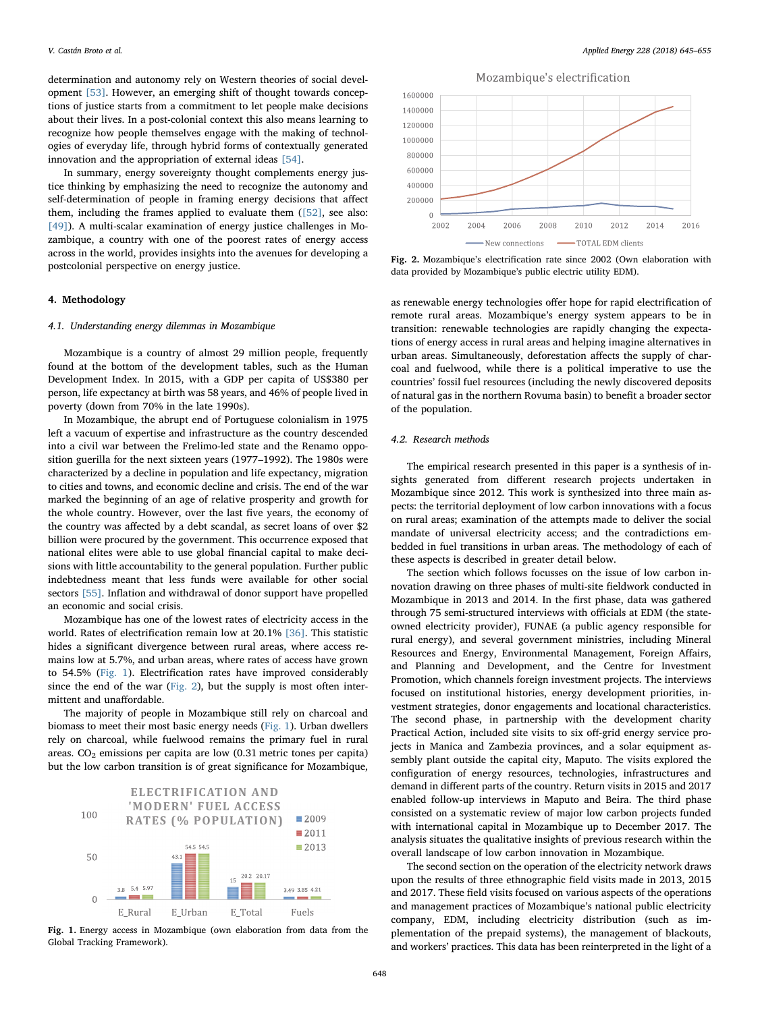determination and autonomy rely on Western theories of social development [\[53\].](#page-10-26) However, an emerging shift of thought towards conceptions of justice starts from a commitment to let people make decisions about their lives. In a post-colonial context this also means learning to recognize how people themselves engage with the making of technologies of everyday life, through hybrid forms of contextually generated innovation and the appropriation of external ideas [\[54\]](#page-10-27).

In summary, energy sovereignty thought complements energy justice thinking by emphasizing the need to recognize the autonomy and self-determination of people in framing energy decisions that affect them, including the frames applied to evaluate them  $(52)$ , see also: [\[49\]](#page-10-22)). A multi-scalar examination of energy justice challenges in Mozambique, a country with one of the poorest rates of energy access across in the world, provides insights into the avenues for developing a postcolonial perspective on energy justice.

# <span id="page-3-0"></span>4. Methodology

#### 4.1. Understanding energy dilemmas in Mozambique

Mozambique is a country of almost 29 million people, frequently found at the bottom of the development tables, such as the Human Development Index. In 2015, with a GDP per capita of US\$380 per person, life expectancy at birth was 58 years, and 46% of people lived in poverty (down from 70% in the late 1990s).

In Mozambique, the abrupt end of Portuguese colonialism in 1975 left a vacuum of expertise and infrastructure as the country descended into a civil war between the Frelimo-led state and the Renamo opposition guerilla for the next sixteen years (1977–1992). The 1980s were characterized by a decline in population and life expectancy, migration to cities and towns, and economic decline and crisis. The end of the war marked the beginning of an age of relative prosperity and growth for the whole country. However, over the last five years, the economy of the country was affected by a debt scandal, as secret loans of over \$2 billion were procured by the government. This occurrence exposed that national elites were able to use global financial capital to make decisions with little accountability to the general population. Further public indebtedness meant that less funds were available for other social sectors [\[55\].](#page-10-28) Inflation and withdrawal of donor support have propelled an economic and social crisis.

Mozambique has one of the lowest rates of electricity access in the world. Rates of electrification remain low at 20.1% [\[36\]](#page-10-8). This statistic hides a significant divergence between rural areas, where access remains low at 5.7%, and urban areas, where rates of access have grown to 54.5% ([Fig. 1\)](#page-3-1). Electrification rates have improved considerably since the end of the war ([Fig. 2\)](#page-3-2), but the supply is most often intermittent and unaffordable.

The majority of people in Mozambique still rely on charcoal and biomass to meet their most basic energy needs [\(Fig. 1](#page-3-1)). Urban dwellers rely on charcoal, while fuelwood remains the primary fuel in rural areas.  $CO<sub>2</sub>$  emissions per capita are low  $(0.31$  metric tones per capita) but the low carbon transition is of great significance for Mozambique,

<span id="page-3-1"></span>

Fig. 1. Energy access in Mozambique (own elaboration from data from the Global Tracking Framework).

<span id="page-3-2"></span>

Fig. 2. Mozambique's electrification rate since 2002 (Own elaboration with data provided by Mozambique's public electric utility EDM).

as renewable energy technologies offer hope for rapid electrification of remote rural areas. Mozambique's energy system appears to be in transition: renewable technologies are rapidly changing the expectations of energy access in rural areas and helping imagine alternatives in urban areas. Simultaneously, deforestation affects the supply of charcoal and fuelwood, while there is a political imperative to use the countries' fossil fuel resources (including the newly discovered deposits of natural gas in the northern Rovuma basin) to benefit a broader sector of the population.

## 4.2. Research methods

The empirical research presented in this paper is a synthesis of insights generated from different research projects undertaken in Mozambique since 2012. This work is synthesized into three main aspects: the territorial deployment of low carbon innovations with a focus on rural areas; examination of the attempts made to deliver the social mandate of universal electricity access; and the contradictions embedded in fuel transitions in urban areas. The methodology of each of these aspects is described in greater detail below.

The section which follows focusses on the issue of low carbon innovation drawing on three phases of multi-site fieldwork conducted in Mozambique in 2013 and 2014. In the first phase, data was gathered through 75 semi-structured interviews with officials at EDM (the stateowned electricity provider), FUNAE (a public agency responsible for rural energy), and several government ministries, including Mineral Resources and Energy, Environmental Management, Foreign Affairs, and Planning and Development, and the Centre for Investment Promotion, which channels foreign investment projects. The interviews focused on institutional histories, energy development priorities, investment strategies, donor engagements and locational characteristics. The second phase, in partnership with the development charity Practical Action, included site visits to six off-grid energy service projects in Manica and Zambezia provinces, and a solar equipment assembly plant outside the capital city, Maputo. The visits explored the configuration of energy resources, technologies, infrastructures and demand in different parts of the country. Return visits in 2015 and 2017 enabled follow-up interviews in Maputo and Beira. The third phase consisted on a systematic review of major low carbon projects funded with international capital in Mozambique up to December 2017. The analysis situates the qualitative insights of previous research within the overall landscape of low carbon innovation in Mozambique.

The second section on the operation of the electricity network draws upon the results of three ethnographic field visits made in 2013, 2015 and 2017. These field visits focused on various aspects of the operations and management practices of Mozambique's national public electricity company, EDM, including electricity distribution (such as implementation of the prepaid systems), the management of blackouts, and workers' practices. This data has been reinterpreted in the light of a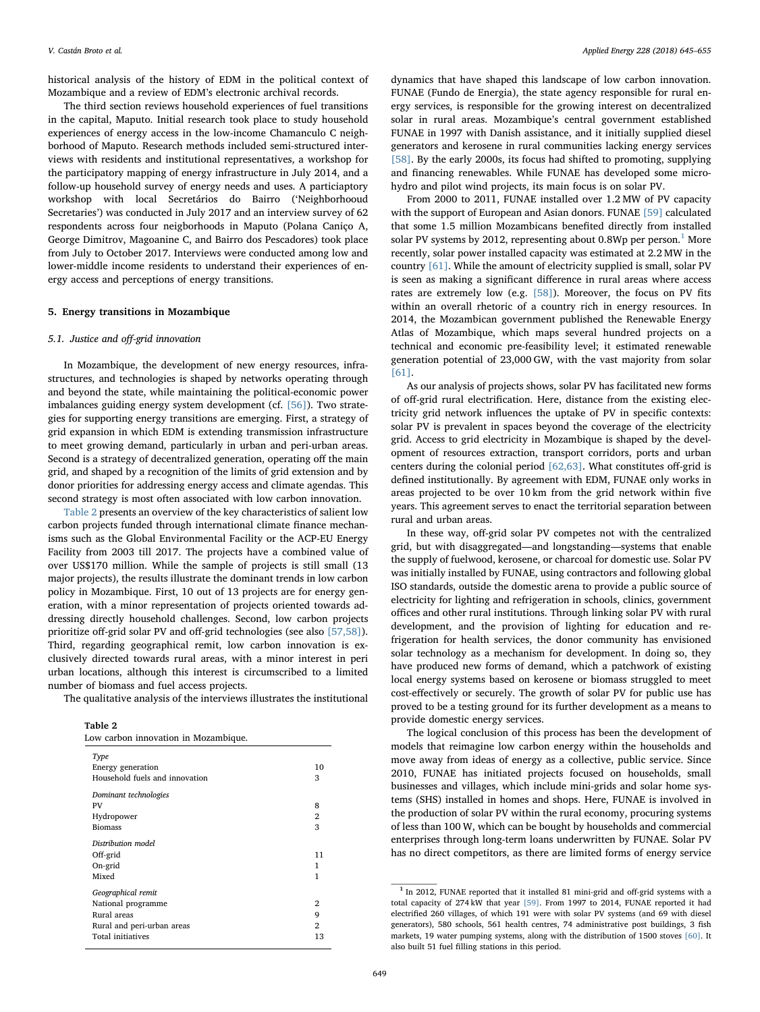historical analysis of the history of EDM in the political context of Mozambique and a review of EDM's electronic archival records.

The third section reviews household experiences of fuel transitions in the capital, Maputo. Initial research took place to study household experiences of energy access in the low-income Chamanculo C neighborhood of Maputo. Research methods included semi-structured interviews with residents and institutional representatives, a workshop for the participatory mapping of energy infrastructure in July 2014, and a follow-up household survey of energy needs and uses. A particiaptory workshop with local Secretários do Bairro ('Neighborhooud Secretaries') was conducted in July 2017 and an interview survey of 62 respondents across four neigborhoods in Maputo (Polana Caniço A, George Dimitrov, Magoanine C, and Bairro dos Pescadores) took place from July to October 2017. Interviews were conducted among low and lower-middle income residents to understand their experiences of energy access and perceptions of energy transitions.

#### <span id="page-4-0"></span>5. Energy transitions in Mozambique

# 5.1. Justice and off-grid innovation

In Mozambique, the development of new energy resources, infrastructures, and technologies is shaped by networks operating through and beyond the state, while maintaining the political-economic power imbalances guiding energy system development (cf. [\[56\]](#page-10-29)). Two strategies for supporting energy transitions are emerging. First, a strategy of grid expansion in which EDM is extending transmission infrastructure to meet growing demand, particularly in urban and peri-urban areas. Second is a strategy of decentralized generation, operating off the main grid, and shaped by a recognition of the limits of grid extension and by donor priorities for addressing energy access and climate agendas. This second strategy is most often associated with low carbon innovation.

[Table 2](#page-4-1) presents an overview of the key characteristics of salient low carbon projects funded through international climate finance mechanisms such as the Global Environmental Facility or the ACP-EU Energy Facility from 2003 till 2017. The projects have a combined value of over US\$170 million. While the sample of projects is still small (13 major projects), the results illustrate the dominant trends in low carbon policy in Mozambique. First, 10 out of 13 projects are for energy generation, with a minor representation of projects oriented towards addressing directly household challenges. Second, low carbon projects prioritize off-grid solar PV and off-grid technologies (see also [\[57,58\]](#page-10-30)). Third, regarding geographical remit, low carbon innovation is exclusively directed towards rural areas, with a minor interest in peri urban locations, although this interest is circumscribed to a limited number of biomass and fuel access projects.

The qualitative analysis of the interviews illustrates the institutional

<span id="page-4-1"></span>Table 2

| Low carbon innovation in Mozambique. |                |  |
|--------------------------------------|----------------|--|
| Type                                 |                |  |
| Energy generation                    | 10             |  |
| Household fuels and innovation       | 3              |  |
| Dominant technologies                |                |  |
| PV                                   | 8              |  |
| Hydropower                           | 2              |  |
| <b>Biomass</b>                       | 3              |  |
| Distribution model                   |                |  |
| Off-grid                             | 11             |  |
| On-grid                              | 1              |  |
| Mixed                                | 1              |  |
| Geographical remit                   |                |  |
| National programme                   | 2              |  |
| Rural areas                          | 9              |  |
| Rural and peri-urban areas           | $\overline{2}$ |  |
| Total initiatives                    | 13             |  |
|                                      |                |  |

dynamics that have shaped this landscape of low carbon innovation. FUNAE (Fundo de Energia), the state agency responsible for rural energy services, is responsible for the growing interest on decentralized solar in rural areas. Mozambique's central government established FUNAE in 1997 with Danish assistance, and it initially supplied diesel generators and kerosene in rural communities lacking energy services [\[58\]](#page-10-31). By the early 2000s, its focus had shifted to promoting, supplying and financing renewables. While FUNAE has developed some microhydro and pilot wind projects, its main focus is on solar PV.

From 2000 to 2011, FUNAE installed over 1.2 MW of PV capacity with the support of European and Asian donors. FUNAE [\[59\]](#page-10-32) calculated that some 1.5 million Mozambicans benefited directly from installed solar PV systems by 20[1](#page-4-2)2, representing about 0.8Wp per person.<sup>1</sup> More recently, solar power installed capacity was estimated at 2.2 MW in the country [\[61\]](#page-10-33). While the amount of electricity supplied is small, solar PV is seen as making a significant difference in rural areas where access rates are extremely low (e.g. [\[58\]](#page-10-31)). Moreover, the focus on PV fits within an overall rhetoric of a country rich in energy resources. In 2014, the Mozambican government published the Renewable Energy Atlas of Mozambique, which maps several hundred projects on a technical and economic pre-feasibility level; it estimated renewable generation potential of 23,000 GW, with the vast majority from solar [\[61\]](#page-10-33).

As our analysis of projects shows, solar PV has facilitated new forms of off-grid rural electrification. Here, distance from the existing electricity grid network influences the uptake of PV in specific contexts: solar PV is prevalent in spaces beyond the coverage of the electricity grid. Access to grid electricity in Mozambique is shaped by the development of resources extraction, transport corridors, ports and urban centers during the colonial period [\[62,63\].](#page-10-34) What constitutes off-grid is defined institutionally. By agreement with EDM, FUNAE only works in areas projected to be over 10 km from the grid network within five years. This agreement serves to enact the territorial separation between rural and urban areas.

In these way, off-grid solar PV competes not with the centralized grid, but with disaggregated—and longstanding—systems that enable the supply of fuelwood, kerosene, or charcoal for domestic use. Solar PV was initially installed by FUNAE, using contractors and following global ISO standards, outside the domestic arena to provide a public source of electricity for lighting and refrigeration in schools, clinics, government offices and other rural institutions. Through linking solar PV with rural development, and the provision of lighting for education and refrigeration for health services, the donor community has envisioned solar technology as a mechanism for development. In doing so, they have produced new forms of demand, which a patchwork of existing local energy systems based on kerosene or biomass struggled to meet cost-effectively or securely. The growth of solar PV for public use has proved to be a testing ground for its further development as a means to provide domestic energy services.

The logical conclusion of this process has been the development of models that reimagine low carbon energy within the households and move away from ideas of energy as a collective, public service. Since 2010, FUNAE has initiated projects focused on households, small businesses and villages, which include mini-grids and solar home systems (SHS) installed in homes and shops. Here, FUNAE is involved in the production of solar PV within the rural economy, procuring systems of less than 100 W, which can be bought by households and commercial enterprises through long-term loans underwritten by FUNAE. Solar PV has no direct competitors, as there are limited forms of energy service

<span id="page-4-2"></span><sup>1</sup> In 2012, FUNAE reported that it installed 81 mini-grid and off-grid systems with a total capacity of 274 kW that year [\[59\].](#page-10-32) From 1997 to 2014, FUNAE reported it had electrified 260 villages, of which 191 were with solar PV systems (and 69 with diesel generators), 580 schools, 561 health centres, 74 administrative post buildings, 3 fish markets, 19 water pumping systems, along with the distribution of 1500 stoves [\[60\]](#page-10-35). It also built 51 fuel filling stations in this period.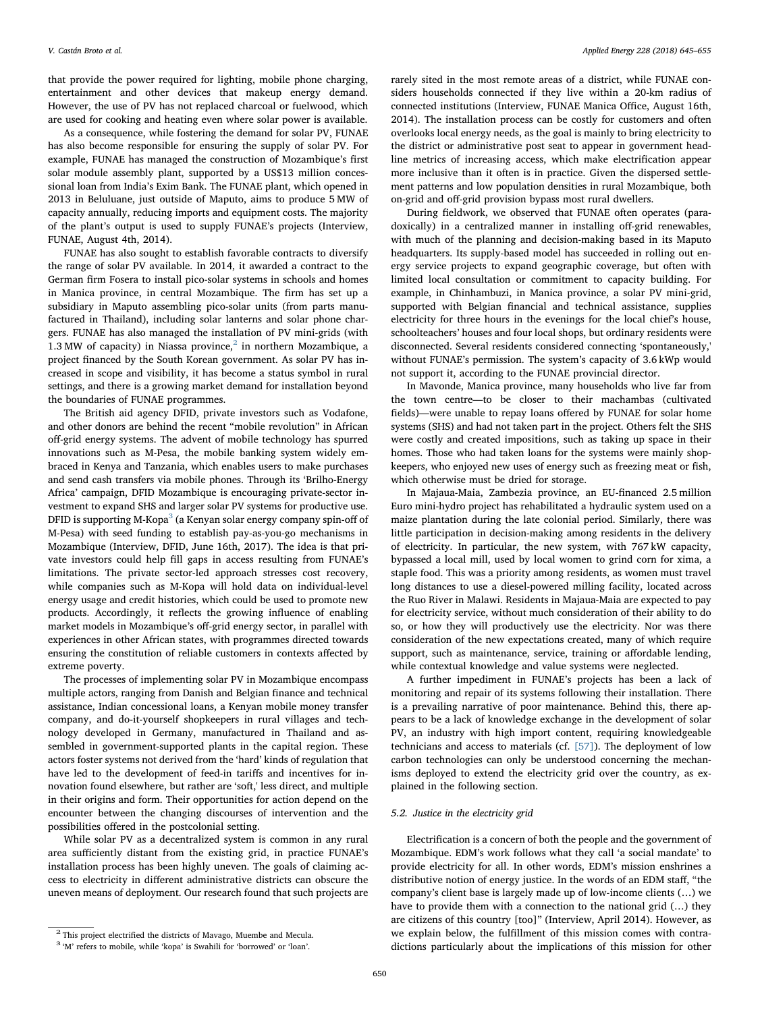that provide the power required for lighting, mobile phone charging, entertainment and other devices that makeup energy demand. However, the use of PV has not replaced charcoal or fuelwood, which are used for cooking and heating even where solar power is available.

As a consequence, while fostering the demand for solar PV, FUNAE has also become responsible for ensuring the supply of solar PV. For example, FUNAE has managed the construction of Mozambique's first solar module assembly plant, supported by a US\$13 million concessional loan from India's Exim Bank. The FUNAE plant, which opened in 2013 in Beluluane, just outside of Maputo, aims to produce 5 MW of capacity annually, reducing imports and equipment costs. The majority of the plant's output is used to supply FUNAE's projects (Interview, FUNAE, August 4th, 2014).

FUNAE has also sought to establish favorable contracts to diversify the range of solar PV available. In 2014, it awarded a contract to the German firm Fosera to install pico-solar systems in schools and homes in Manica province, in central Mozambique. The firm has set up a subsidiary in Maputo assembling pico-solar units (from parts manufactured in Thailand), including solar lanterns and solar phone chargers. FUNAE has also managed the installation of PV mini-grids (with 1.3 MW of capacity) in Niassa province, $2$  in northern Mozambique, a project financed by the South Korean government. As solar PV has increased in scope and visibility, it has become a status symbol in rural settings, and there is a growing market demand for installation beyond the boundaries of FUNAE programmes.

The British aid agency DFID, private investors such as Vodafone, and other donors are behind the recent "mobile revolution" in African off-grid energy systems. The advent of mobile technology has spurred innovations such as M-Pesa, the mobile banking system widely embraced in Kenya and Tanzania, which enables users to make purchases and send cash transfers via mobile phones. Through its 'Brilho-Energy Africa' campaign, DFID Mozambique is encouraging private-sector investment to expand SHS and larger solar PV systems for productive use. DFID is supporting M-Kopa<sup>[3](#page-5-1)</sup> (a Kenyan solar energy company spin-off of M-Pesa) with seed funding to establish pay-as-you-go mechanisms in Mozambique (Interview, DFID, June 16th, 2017). The idea is that private investors could help fill gaps in access resulting from FUNAE's limitations. The private sector-led approach stresses cost recovery, while companies such as M-Kopa will hold data on individual-level energy usage and credit histories, which could be used to promote new products. Accordingly, it reflects the growing influence of enabling market models in Mozambique's off-grid energy sector, in parallel with experiences in other African states, with programmes directed towards ensuring the constitution of reliable customers in contexts affected by extreme poverty.

The processes of implementing solar PV in Mozambique encompass multiple actors, ranging from Danish and Belgian finance and technical assistance, Indian concessional loans, a Kenyan mobile money transfer company, and do-it-yourself shopkeepers in rural villages and technology developed in Germany, manufactured in Thailand and assembled in government-supported plants in the capital region. These actors foster systems not derived from the 'hard' kinds of regulation that have led to the development of feed-in tariffs and incentives for innovation found elsewhere, but rather are 'soft,' less direct, and multiple in their origins and form. Their opportunities for action depend on the encounter between the changing discourses of intervention and the possibilities offered in the postcolonial setting.

While solar PV as a decentralized system is common in any rural area sufficiently distant from the existing grid, in practice FUNAE's installation process has been highly uneven. The goals of claiming access to electricity in different administrative districts can obscure the uneven means of deployment. Our research found that such projects are

rarely sited in the most remote areas of a district, while FUNAE considers households connected if they live within a 20-km radius of connected institutions (Interview, FUNAE Manica Office, August 16th, 2014). The installation process can be costly for customers and often overlooks local energy needs, as the goal is mainly to bring electricity to the district or administrative post seat to appear in government headline metrics of increasing access, which make electrification appear more inclusive than it often is in practice. Given the dispersed settlement patterns and low population densities in rural Mozambique, both on-grid and off-grid provision bypass most rural dwellers.

During fieldwork, we observed that FUNAE often operates (paradoxically) in a centralized manner in installing off-grid renewables, with much of the planning and decision-making based in its Maputo headquarters. Its supply-based model has succeeded in rolling out energy service projects to expand geographic coverage, but often with limited local consultation or commitment to capacity building. For example, in Chinhambuzi, in Manica province, a solar PV mini-grid, supported with Belgian financial and technical assistance, supplies electricity for three hours in the evenings for the local chief's house, schoolteachers' houses and four local shops, but ordinary residents were disconnected. Several residents considered connecting 'spontaneously,' without FUNAE's permission. The system's capacity of 3.6 kWp would not support it, according to the FUNAE provincial director.

In Mavonde, Manica province, many households who live far from the town centre—to be closer to their machambas (cultivated fields)—were unable to repay loans offered by FUNAE for solar home systems (SHS) and had not taken part in the project. Others felt the SHS were costly and created impositions, such as taking up space in their homes. Those who had taken loans for the systems were mainly shopkeepers, who enjoyed new uses of energy such as freezing meat or fish, which otherwise must be dried for storage.

In Majaua-Maia, Zambezia province, an EU-financed 2.5 million Euro mini-hydro project has rehabilitated a hydraulic system used on a maize plantation during the late colonial period. Similarly, there was little participation in decision-making among residents in the delivery of electricity. In particular, the new system, with 767 kW capacity, bypassed a local mill, used by local women to grind corn for xima, a staple food. This was a priority among residents, as women must travel long distances to use a diesel-powered milling facility, located across the Ruo River in Malawi. Residents in Majaua-Maia are expected to pay for electricity service, without much consideration of their ability to do so, or how they will productively use the electricity. Nor was there consideration of the new expectations created, many of which require support, such as maintenance, service, training or affordable lending, while contextual knowledge and value systems were neglected.

A further impediment in FUNAE's projects has been a lack of monitoring and repair of its systems following their installation. There is a prevailing narrative of poor maintenance. Behind this, there appears to be a lack of knowledge exchange in the development of solar PV, an industry with high import content, requiring knowledgeable technicians and access to materials (cf. [\[57\]\)](#page-10-30). The deployment of low carbon technologies can only be understood concerning the mechanisms deployed to extend the electricity grid over the country, as explained in the following section.

### 5.2. Justice in the electricity grid

Electrification is a concern of both the people and the government of Mozambique. EDM's work follows what they call 'a social mandate' to provide electricity for all. In other words, EDM's mission enshrines a distributive notion of energy justice. In the words of an EDM staff, "the company's client base is largely made up of low-income clients (…) we have to provide them with a connection to the national grid (…) they are citizens of this country [too]" (Interview, April 2014). However, as we explain below, the fulfillment of this mission comes with contradictions particularly about the implications of this mission for other

<span id="page-5-1"></span><span id="page-5-0"></span> $^2$  This project electrified the districts of Mavago, Muembe and Mecula.  $^3$  'M' refers to mobile, while 'kopa' is Swahili for 'borrowed' or 'loan'.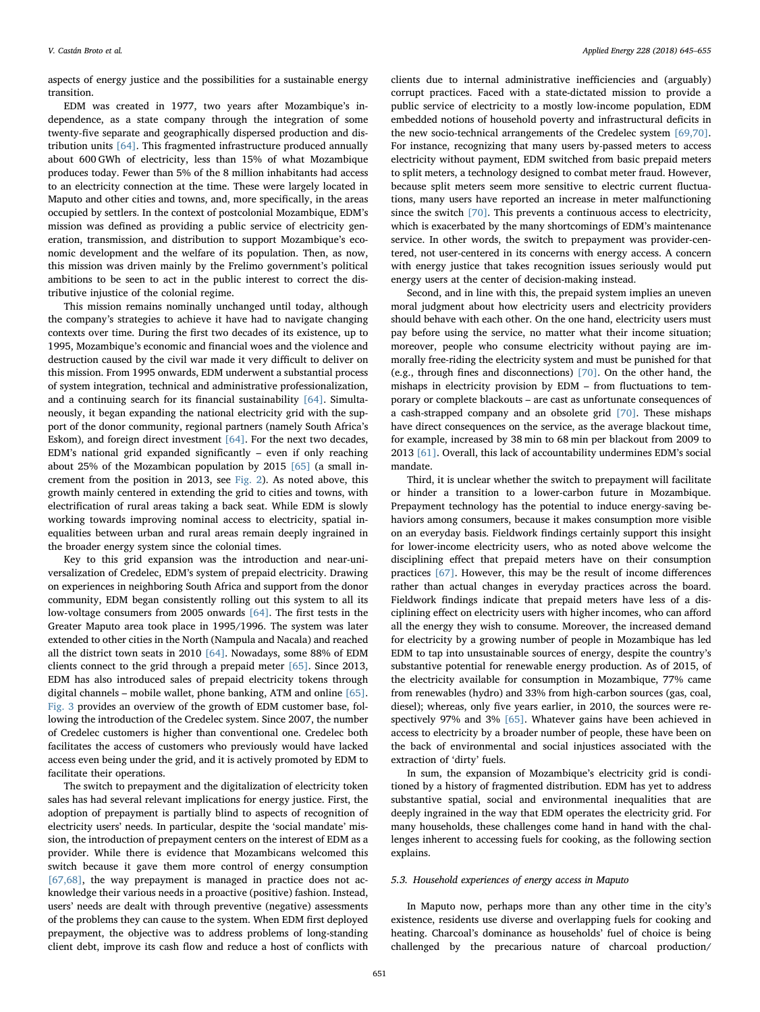aspects of energy justice and the possibilities for a sustainable energy transition.

EDM was created in 1977, two years after Mozambique's independence, as a state company through the integration of some twenty-five separate and geographically dispersed production and distribution units [\[64\].](#page-10-36) This fragmented infrastructure produced annually about 600 GWh of electricity, less than 15% of what Mozambique produces today. Fewer than 5% of the 8 million inhabitants had access to an electricity connection at the time. These were largely located in Maputo and other cities and towns, and, more specifically, in the areas occupied by settlers. In the context of postcolonial Mozambique, EDM's mission was defined as providing a public service of electricity generation, transmission, and distribution to support Mozambique's economic development and the welfare of its population. Then, as now, this mission was driven mainly by the Frelimo government's political ambitions to be seen to act in the public interest to correct the distributive injustice of the colonial regime.

This mission remains nominally unchanged until today, although the company's strategies to achieve it have had to navigate changing contexts over time. During the first two decades of its existence, up to 1995, Mozambique's economic and financial woes and the violence and destruction caused by the civil war made it very difficult to deliver on this mission. From 1995 onwards, EDM underwent a substantial process of system integration, technical and administrative professionalization, and a continuing search for its financial sustainability [\[64\].](#page-10-36) Simultaneously, it began expanding the national electricity grid with the support of the donor community, regional partners (namely South Africa's Eskom), and foreign direct investment [\[64\]](#page-10-36). For the next two decades, EDM's national grid expanded significantly – even if only reaching about 25% of the Mozambican population by 2015 [\[65\]](#page-10-37) (a small increment from the position in 2013, see [Fig. 2](#page-3-2)). As noted above, this growth mainly centered in extending the grid to cities and towns, with electrification of rural areas taking a back seat. While EDM is slowly working towards improving nominal access to electricity, spatial inequalities between urban and rural areas remain deeply ingrained in the broader energy system since the colonial times.

Key to this grid expansion was the introduction and near-universalization of Credelec, EDM's system of prepaid electricity. Drawing on experiences in neighboring South Africa and support from the donor community, EDM began consistently rolling out this system to all its low-voltage consumers from 2005 onwards [\[64\].](#page-10-36) The first tests in the Greater Maputo area took place in 1995/1996. The system was later extended to other cities in the North (Nampula and Nacala) and reached all the district town seats in 2010 [\[64\]](#page-10-36). Nowadays, some 88% of EDM clients connect to the grid through a prepaid meter [\[65\].](#page-10-37) Since 2013, EDM has also introduced sales of prepaid electricity tokens through digital channels – mobile wallet, phone banking, ATM and online [\[65\]](#page-10-37). [Fig. 3](#page-7-0) provides an overview of the growth of EDM customer base, following the introduction of the Credelec system. Since 2007, the number of Credelec customers is higher than conventional one. Credelec both facilitates the access of customers who previously would have lacked access even being under the grid, and it is actively promoted by EDM to facilitate their operations.

The switch to prepayment and the digitalization of electricity token sales has had several relevant implications for energy justice. First, the adoption of prepayment is partially blind to aspects of recognition of electricity users' needs. In particular, despite the 'social mandate' mission, the introduction of prepayment centers on the interest of EDM as a provider. While there is evidence that Mozambicans welcomed this switch because it gave them more control of energy consumption [\[67,68\],](#page-10-38) the way prepayment is managed in practice does not acknowledge their various needs in a proactive (positive) fashion. Instead, users' needs are dealt with through preventive (negative) assessments of the problems they can cause to the system. When EDM first deployed prepayment, the objective was to address problems of long-standing client debt, improve its cash flow and reduce a host of conflicts with

clients due to internal administrative inefficiencies and (arguably) corrupt practices. Faced with a state-dictated mission to provide a public service of electricity to a mostly low-income population, EDM embedded notions of household poverty and infrastructural deficits in the new socio-technical arrangements of the Credelec system [\[69,70\]](#page-10-39). For instance, recognizing that many users by-passed meters to access electricity without payment, EDM switched from basic prepaid meters to split meters, a technology designed to combat meter fraud. However, because split meters seem more sensitive to electric current fluctuations, many users have reported an increase in meter malfunctioning since the switch [\[70\]](#page-10-40). This prevents a continuous access to electricity, which is exacerbated by the many shortcomings of EDM's maintenance service. In other words, the switch to prepayment was provider-centered, not user-centered in its concerns with energy access. A concern with energy justice that takes recognition issues seriously would put energy users at the center of decision-making instead.

Second, and in line with this, the prepaid system implies an uneven moral judgment about how electricity users and electricity providers should behave with each other. On the one hand, electricity users must pay before using the service, no matter what their income situation; moreover, people who consume electricity without paying are immorally free-riding the electricity system and must be punished for that (e.g., through fines and disconnections) [\[70\]](#page-10-40). On the other hand, the mishaps in electricity provision by EDM – from fluctuations to temporary or complete blackouts – are cast as unfortunate consequences of a cash-strapped company and an obsolete grid [\[70\].](#page-10-40) These mishaps have direct consequences on the service, as the average blackout time, for example, increased by 38 min to 68 min per blackout from 2009 to 2013 [\[61\]](#page-10-33). Overall, this lack of accountability undermines EDM's social mandate.

Third, it is unclear whether the switch to prepayment will facilitate or hinder a transition to a lower-carbon future in Mozambique. Prepayment technology has the potential to induce energy-saving behaviors among consumers, because it makes consumption more visible on an everyday basis. Fieldwork findings certainly support this insight for lower-income electricity users, who as noted above welcome the disciplining effect that prepaid meters have on their consumption practices [\[67\].](#page-10-38) However, this may be the result of income differences rather than actual changes in everyday practices across the board. Fieldwork findings indicate that prepaid meters have less of a disciplining effect on electricity users with higher incomes, who can afford all the energy they wish to consume. Moreover, the increased demand for electricity by a growing number of people in Mozambique has led EDM to tap into unsustainable sources of energy, despite the country's substantive potential for renewable energy production. As of 2015, of the electricity available for consumption in Mozambique, 77% came from renewables (hydro) and 33% from high-carbon sources (gas, coal, diesel); whereas, only five years earlier, in 2010, the sources were respectively 97% and 3% [\[65\]](#page-10-37). Whatever gains have been achieved in access to electricity by a broader number of people, these have been on the back of environmental and social injustices associated with the extraction of 'dirty' fuels.

In sum, the expansion of Mozambique's electricity grid is conditioned by a history of fragmented distribution. EDM has yet to address substantive spatial, social and environmental inequalities that are deeply ingrained in the way that EDM operates the electricity grid. For many households, these challenges come hand in hand with the challenges inherent to accessing fuels for cooking, as the following section explains.

#### 5.3. Household experiences of energy access in Maputo

In Maputo now, perhaps more than any other time in the city's existence, residents use diverse and overlapping fuels for cooking and heating. Charcoal's dominance as households' fuel of choice is being challenged by the precarious nature of charcoal production/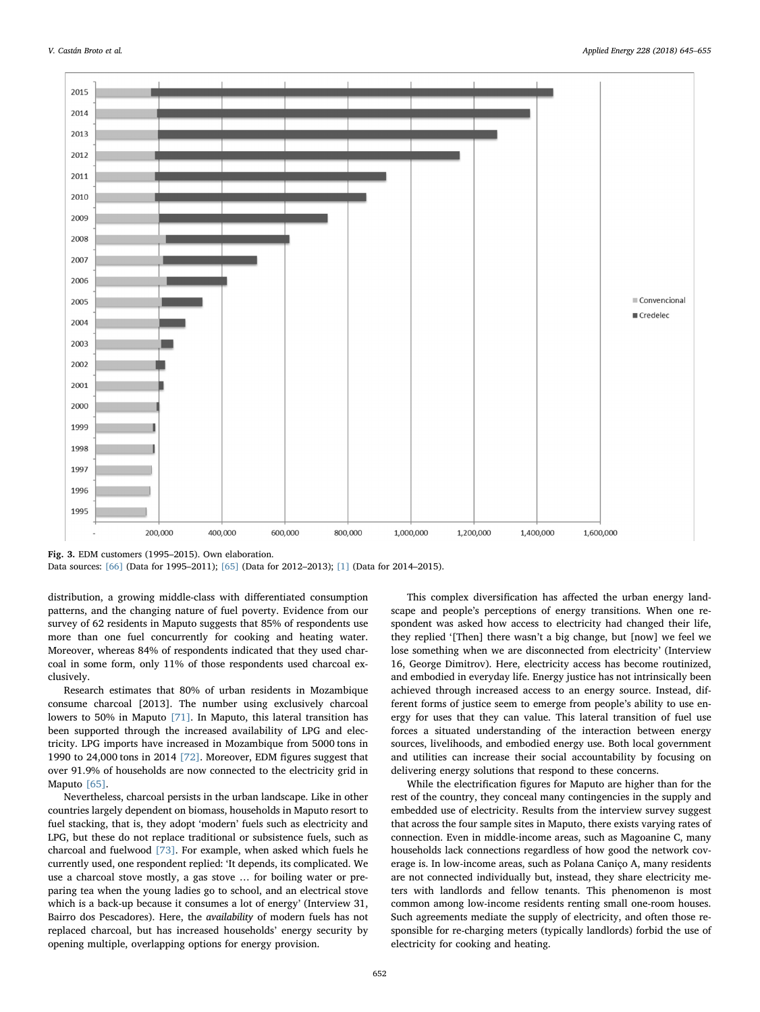<span id="page-7-0"></span>

Fig. 3. EDM customers (1995–2015). Own elaboration.

Data sources: [\[66\]](#page-10-44) (Data for 1995–2011); [\[65\]](#page-10-37) (Data for 2012–2013); [\[1\]](#page-9-0) (Data for 2014–2015).

distribution, a growing middle-class with differentiated consumption patterns, and the changing nature of fuel poverty. Evidence from our survey of 62 residents in Maputo suggests that 85% of respondents use more than one fuel concurrently for cooking and heating water. Moreover, whereas 84% of respondents indicated that they used charcoal in some form, only 11% of those respondents used charcoal exclusively.

Research estimates that 80% of urban residents in Mozambique consume charcoal [2013]. The number using exclusively charcoal lowers to 50% in Maputo [\[71\]](#page-10-41). In Maputo, this lateral transition has been supported through the increased availability of LPG and electricity. LPG imports have increased in Mozambique from 5000 tons in 1990 to 24,000 tons in 2014 [\[72\].](#page-10-42) Moreover, EDM figures suggest that over 91.9% of households are now connected to the electricity grid in Maputo [\[65\]](#page-10-37).

Nevertheless, charcoal persists in the urban landscape. Like in other countries largely dependent on biomass, households in Maputo resort to fuel stacking, that is, they adopt 'modern' fuels such as electricity and LPG, but these do not replace traditional or subsistence fuels, such as charcoal and fuelwood [\[73\].](#page-10-43) For example, when asked which fuels he currently used, one respondent replied: 'It depends, its complicated. We use a charcoal stove mostly, a gas stove … for boiling water or preparing tea when the young ladies go to school, and an electrical stove which is a back-up because it consumes a lot of energy' (Interview 31, Bairro dos Pescadores). Here, the availability of modern fuels has not replaced charcoal, but has increased households' energy security by opening multiple, overlapping options for energy provision.

This complex diversification has affected the urban energy landscape and people's perceptions of energy transitions. When one respondent was asked how access to electricity had changed their life, they replied '[Then] there wasn't a big change, but [now] we feel we lose something when we are disconnected from electricity' (Interview 16, George Dimitrov). Here, electricity access has become routinized, and embodied in everyday life. Energy justice has not intrinsically been achieved through increased access to an energy source. Instead, different forms of justice seem to emerge from people's ability to use energy for uses that they can value. This lateral transition of fuel use forces a situated understanding of the interaction between energy sources, livelihoods, and embodied energy use. Both local government and utilities can increase their social accountability by focusing on delivering energy solutions that respond to these concerns.

While the electrification figures for Maputo are higher than for the rest of the country, they conceal many contingencies in the supply and embedded use of electricity. Results from the interview survey suggest that across the four sample sites in Maputo, there exists varying rates of connection. Even in middle-income areas, such as Magoanine C, many households lack connections regardless of how good the network coverage is. In low-income areas, such as Polana Caniço A, many residents are not connected individually but, instead, they share electricity meters with landlords and fellow tenants. This phenomenon is most common among low-income residents renting small one-room houses. Such agreements mediate the supply of electricity, and often those responsible for re-charging meters (typically landlords) forbid the use of electricity for cooking and heating.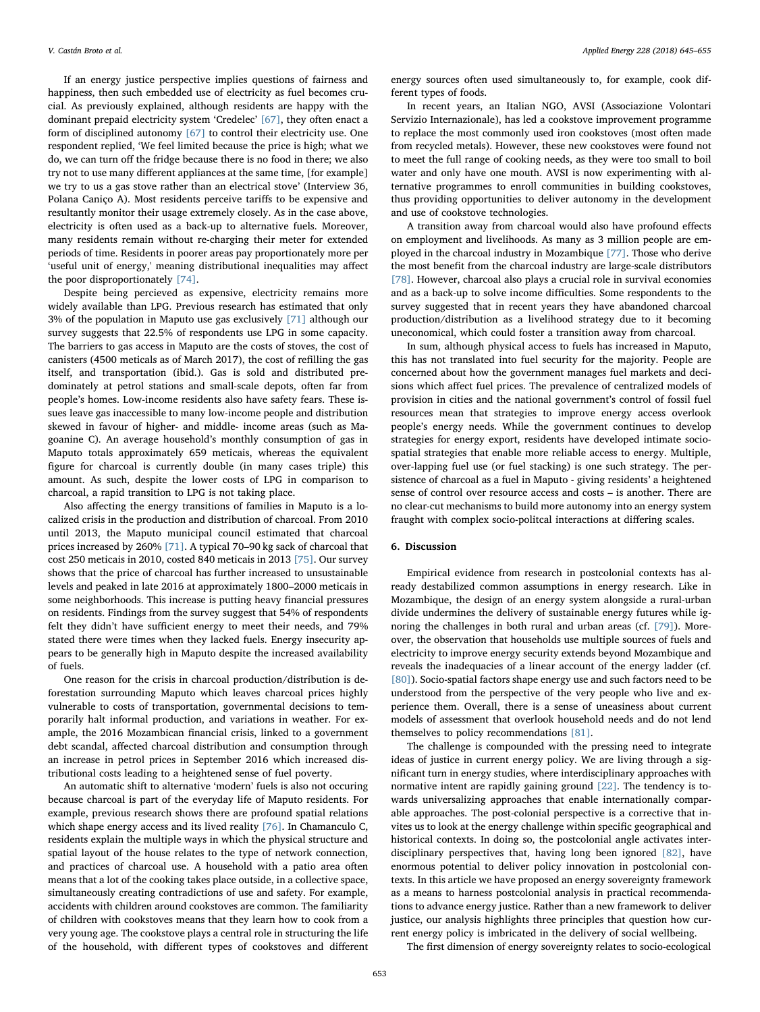If an energy justice perspective implies questions of fairness and happiness, then such embedded use of electricity as fuel becomes crucial. As previously explained, although residents are happy with the dominant prepaid electricity system 'Credelec' [\[67\]](#page-10-38), they often enact a form of disciplined autonomy [\[67\]](#page-10-38) to control their electricity use. One respondent replied, 'We feel limited because the price is high; what we do, we can turn off the fridge because there is no food in there; we also try not to use many different appliances at the same time, [for example] we try to us a gas stove rather than an electrical stove' (Interview 36, Polana Caniço A). Most residents perceive tariffs to be expensive and resultantly monitor their usage extremely closely. As in the case above, electricity is often used as a back-up to alternative fuels. Moreover, many residents remain without re-charging their meter for extended periods of time. Residents in poorer areas pay proportionately more per 'useful unit of energy,' meaning distributional inequalities may affect the poor disproportionately [\[74\].](#page-10-45)

Despite being percieved as expensive, electricity remains more widely available than LPG. Previous research has estimated that only 3% of the population in Maputo use gas exclusively [\[71\]](#page-10-41) although our survey suggests that 22.5% of respondents use LPG in some capacity. The barriers to gas access in Maputo are the costs of stoves, the cost of canisters (4500 meticals as of March 2017), the cost of refilling the gas itself, and transportation (ibid.). Gas is sold and distributed predominately at petrol stations and small-scale depots, often far from people's homes. Low-income residents also have safety fears. These issues leave gas inaccessible to many low-income people and distribution skewed in favour of higher- and middle- income areas (such as Magoanine C). An average household's monthly consumption of gas in Maputo totals approximately 659 meticais, whereas the equivalent figure for charcoal is currently double (in many cases triple) this amount. As such, despite the lower costs of LPG in comparison to charcoal, a rapid transition to LPG is not taking place.

Also affecting the energy transitions of families in Maputo is a localized crisis in the production and distribution of charcoal. From 2010 until 2013, the Maputo municipal council estimated that charcoal prices increased by 260% [\[71\].](#page-10-41) A typical 70–90 kg sack of charcoal that cost 250 meticais in 2010, costed 840 meticais in 2013 [\[75\].](#page-10-46) Our survey shows that the price of charcoal has further increased to unsustainable levels and peaked in late 2016 at approximately 1800–2000 meticais in some neighborhoods. This increase is putting heavy financial pressures on residents. Findings from the survey suggest that 54% of respondents felt they didn't have sufficient energy to meet their needs, and 79% stated there were times when they lacked fuels. Energy insecurity appears to be generally high in Maputo despite the increased availability of fuels.

One reason for the crisis in charcoal production/distribution is deforestation surrounding Maputo which leaves charcoal prices highly vulnerable to costs of transportation, governmental decisions to temporarily halt informal production, and variations in weather. For example, the 2016 Mozambican financial crisis, linked to a government debt scandal, affected charcoal distribution and consumption through an increase in petrol prices in September 2016 which increased distributional costs leading to a heightened sense of fuel poverty.

An automatic shift to alternative 'modern' fuels is also not occuring because charcoal is part of the everyday life of Maputo residents. For example, previous research shows there are profound spatial relations which shape energy access and its lived reality [\[76\]](#page-10-47). In Chamanculo C, residents explain the multiple ways in which the physical structure and spatial layout of the house relates to the type of network connection, and practices of charcoal use. A household with a patio area often means that a lot of the cooking takes place outside, in a collective space, simultaneously creating contradictions of use and safety. For example, accidents with children around cookstoves are common. The familiarity of children with cookstoves means that they learn how to cook from a very young age. The cookstove plays a central role in structuring the life of the household, with different types of cookstoves and different

energy sources often used simultaneously to, for example, cook different types of foods.

In recent years, an Italian NGO, AVSI (Associazione Volontari Servizio Internazionale), has led a cookstove improvement programme to replace the most commonly used iron cookstoves (most often made from recycled metals). However, these new cookstoves were found not to meet the full range of cooking needs, as they were too small to boil water and only have one mouth. AVSI is now experimenting with alternative programmes to enroll communities in building cookstoves, thus providing opportunities to deliver autonomy in the development and use of cookstove technologies.

A transition away from charcoal would also have profound effects on employment and livelihoods. As many as 3 million people are employed in the charcoal industry in Mozambique [\[77\].](#page-10-48) Those who derive the most benefit from the charcoal industry are large-scale distributors [\[78\]](#page-10-49). However, charcoal also plays a crucial role in survival economies and as a back-up to solve income difficulties. Some respondents to the survey suggested that in recent years they have abandoned charcoal production/distribution as a livelihood strategy due to it becoming uneconomical, which could foster a transition away from charcoal.

In sum, although physical access to fuels has increased in Maputo, this has not translated into fuel security for the majority. People are concerned about how the government manages fuel markets and decisions which affect fuel prices. The prevalence of centralized models of provision in cities and the national government's control of fossil fuel resources mean that strategies to improve energy access overlook people's energy needs. While the government continues to develop strategies for energy export, residents have developed intimate sociospatial strategies that enable more reliable access to energy. Multiple, over-lapping fuel use (or fuel stacking) is one such strategy. The persistence of charcoal as a fuel in Maputo - giving residents' a heightened sense of control over resource access and costs – is another. There are no clear-cut mechanisms to build more autonomy into an energy system fraught with complex socio-politcal interactions at differing scales.

# 6. Discussion

Empirical evidence from research in postcolonial contexts has already destabilized common assumptions in energy research. Like in Mozambique, the design of an energy system alongside a rural-urban divide undermines the delivery of sustainable energy futures while ignoring the challenges in both rural and urban areas (cf. [\[79\]](#page-10-50)). Moreover, the observation that households use multiple sources of fuels and electricity to improve energy security extends beyond Mozambique and reveals the inadequacies of a linear account of the energy ladder (cf. [\[80\]](#page-10-51)). Socio-spatial factors shape energy use and such factors need to be understood from the perspective of the very people who live and experience them. Overall, there is a sense of uneasiness about current models of assessment that overlook household needs and do not lend themselves to policy recommendations [\[81\].](#page-10-52)

The challenge is compounded with the pressing need to integrate ideas of justice in current energy policy. We are living through a significant turn in energy studies, where interdisciplinary approaches with normative intent are rapidly gaining ground [\[22\].](#page-10-3) The tendency is towards universalizing approaches that enable internationally comparable approaches. The post-colonial perspective is a corrective that invites us to look at the energy challenge within specific geographical and historical contexts. In doing so, the postcolonial angle activates interdisciplinary perspectives that, having long been ignored [\[82\],](#page-10-53) have enormous potential to deliver policy innovation in postcolonial contexts. In this article we have proposed an energy sovereignty framework as a means to harness postcolonial analysis in practical recommendations to advance energy justice. Rather than a new framework to deliver justice, our analysis highlights three principles that question how current energy policy is imbricated in the delivery of social wellbeing.

The first dimension of energy sovereignty relates to socio-ecological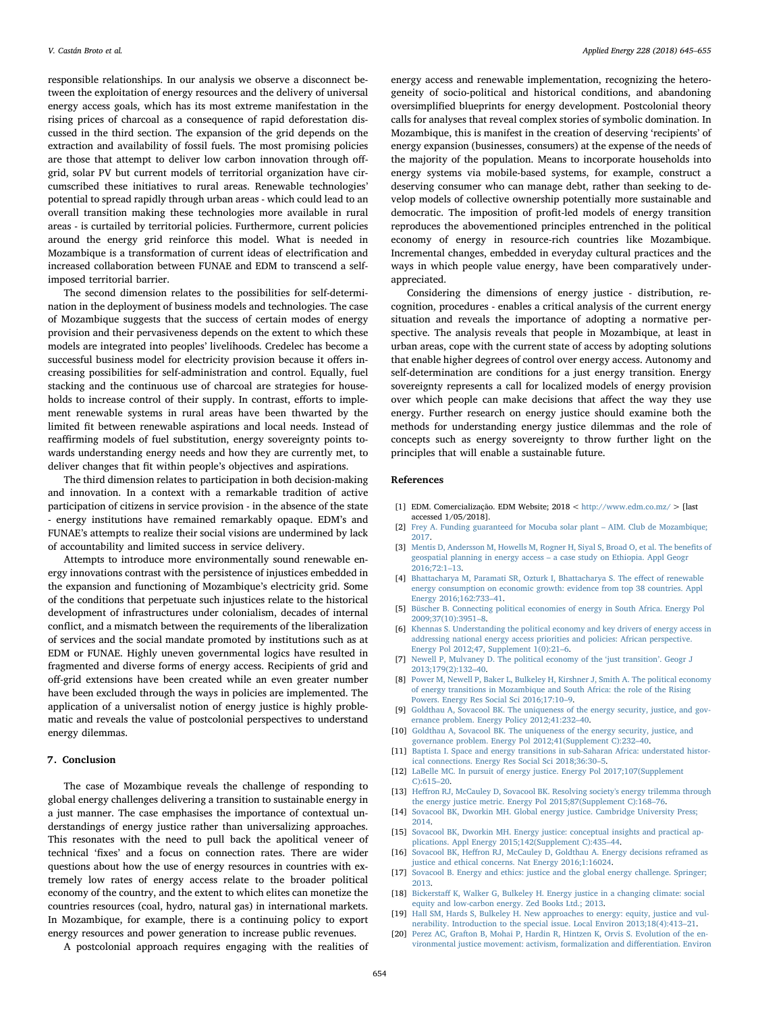responsible relationships. In our analysis we observe a disconnect between the exploitation of energy resources and the delivery of universal energy access goals, which has its most extreme manifestation in the rising prices of charcoal as a consequence of rapid deforestation discussed in the third section. The expansion of the grid depends on the extraction and availability of fossil fuels. The most promising policies are those that attempt to deliver low carbon innovation through offgrid, solar PV but current models of territorial organization have circumscribed these initiatives to rural areas. Renewable technologies' potential to spread rapidly through urban areas - which could lead to an overall transition making these technologies more available in rural areas - is curtailed by territorial policies. Furthermore, current policies around the energy grid reinforce this model. What is needed in Mozambique is a transformation of current ideas of electrification and increased collaboration between FUNAE and EDM to transcend a selfimposed territorial barrier.

The second dimension relates to the possibilities for self-determination in the deployment of business models and technologies. The case of Mozambique suggests that the success of certain modes of energy provision and their pervasiveness depends on the extent to which these models are integrated into peoples' livelihoods. Credelec has become a successful business model for electricity provision because it offers increasing possibilities for self-administration and control. Equally, fuel stacking and the continuous use of charcoal are strategies for households to increase control of their supply. In contrast, efforts to implement renewable systems in rural areas have been thwarted by the limited fit between renewable aspirations and local needs. Instead of reaffirming models of fuel substitution, energy sovereignty points towards understanding energy needs and how they are currently met, to deliver changes that fit within people's objectives and aspirations.

The third dimension relates to participation in both decision-making and innovation. In a context with a remarkable tradition of active participation of citizens in service provision - in the absence of the state - energy institutions have remained remarkably opaque. EDM's and FUNAE's attempts to realize their social visions are undermined by lack of accountability and limited success in service delivery.

Attempts to introduce more environmentally sound renewable energy innovations contrast with the persistence of injustices embedded in the expansion and functioning of Mozambique's electricity grid. Some of the conditions that perpetuate such injustices relate to the historical development of infrastructures under colonialism, decades of internal conflict, and a mismatch between the requirements of the liberalization of services and the social mandate promoted by institutions such as at EDM or FUNAE. Highly uneven governmental logics have resulted in fragmented and diverse forms of energy access. Recipients of grid and off-grid extensions have been created while an even greater number have been excluded through the ways in policies are implemented. The application of a universalist notion of energy justice is highly problematic and reveals the value of postcolonial perspectives to understand energy dilemmas.

# 7. Conclusion

The case of Mozambique reveals the challenge of responding to global energy challenges delivering a transition to sustainable energy in a just manner. The case emphasises the importance of contextual understandings of energy justice rather than universalizing approaches. This resonates with the need to pull back the apolitical veneer of technical 'fixes' and a focus on connection rates. There are wider questions about how the use of energy resources in countries with extremely low rates of energy access relate to the broader political economy of the country, and the extent to which elites can monetize the countries resources (coal, hydro, natural gas) in international markets. In Mozambique, for example, there is a continuing policy to export energy resources and power generation to increase public revenues.

A postcolonial approach requires engaging with the realities of

energy access and renewable implementation, recognizing the heterogeneity of socio-political and historical conditions, and abandoning oversimplified blueprints for energy development. Postcolonial theory calls for analyses that reveal complex stories of symbolic domination. In Mozambique, this is manifest in the creation of deserving 'recipients' of energy expansion (businesses, consumers) at the expense of the needs of the majority of the population. Means to incorporate households into energy systems via mobile-based systems, for example, construct a deserving consumer who can manage debt, rather than seeking to develop models of collective ownership potentially more sustainable and democratic. The imposition of profit-led models of energy transition reproduces the abovementioned principles entrenched in the political economy of energy in resource-rich countries like Mozambique. Incremental changes, embedded in everyday cultural practices and the ways in which people value energy, have been comparatively underappreciated.

Considering the dimensions of energy justice - distribution, recognition, procedures - enables a critical analysis of the current energy situation and reveals the importance of adopting a normative perspective. The analysis reveals that people in Mozambique, at least in urban areas, cope with the current state of access by adopting solutions that enable higher degrees of control over energy access. Autonomy and self-determination are conditions for a just energy transition. Energy sovereignty represents a call for localized models of energy provision over which people can make decisions that affect the way they use energy. Further research on energy justice should examine both the methods for understanding energy justice dilemmas and the role of concepts such as energy sovereignty to throw further light on the principles that will enable a sustainable future.

#### References

- <span id="page-9-0"></span>[1] EDM. Comercialização. EDM Website; 2018 < <http://www.edm.co.mz/> > [last accessed 1/05/2018].
- <span id="page-9-1"></span>[2] [Frey A. Funding guaranteed for Mocuba solar plant](http://refhub.elsevier.com/S0306-2619(18)30928-0/h9000) – AIM. Club de Mozambique; [2017.](http://refhub.elsevier.com/S0306-2619(18)30928-0/h9000)
- <span id="page-9-2"></span>[3] [Mentis D, Andersson M, Howells M, Rogner H, Siyal S, Broad O, et al. The bene](http://refhub.elsevier.com/S0306-2619(18)30928-0/h0010)fits of geospatial planning in energy access – [a case study on Ethiopia. Appl Geogr](http://refhub.elsevier.com/S0306-2619(18)30928-0/h0010) [2016;72:1](http://refhub.elsevier.com/S0306-2619(18)30928-0/h0010)–13.
- <span id="page-9-3"></span>[4] [Bhattacharya M, Paramati SR, Ozturk I, Bhattacharya S. The e](http://refhub.elsevier.com/S0306-2619(18)30928-0/h0015)ffect of renewable [energy consumption on economic growth: evidence from top 38 countries. Appl](http://refhub.elsevier.com/S0306-2619(18)30928-0/h0015) [Energy 2016;162:733](http://refhub.elsevier.com/S0306-2619(18)30928-0/h0015)–41.
- <span id="page-9-4"></span>[5] [Büscher B. Connecting political economies of energy in South Africa. Energy Pol](http://refhub.elsevier.com/S0306-2619(18)30928-0/h0020) [2009;37\(10\):3951](http://refhub.elsevier.com/S0306-2619(18)30928-0/h0020)–8.
- [6] [Khennas S. Understanding the political economy and key drivers of energy access in](http://refhub.elsevier.com/S0306-2619(18)30928-0/h0025) [addressing national energy access priorities and policies: African perspective.](http://refhub.elsevier.com/S0306-2619(18)30928-0/h0025) [Energy Pol 2012;47, Supplement 1\(0\):21](http://refhub.elsevier.com/S0306-2619(18)30928-0/h0025)–6.
- [7] [Newell P, Mulvaney D. The political economy of the](http://refhub.elsevier.com/S0306-2619(18)30928-0/h0030) 'just transition'. Geogr J [2013;179\(2\):132](http://refhub.elsevier.com/S0306-2619(18)30928-0/h0030)–40.
- [8] [Power M, Newell P, Baker L, Bulkeley H, Kirshner J, Smith A. The political economy](http://refhub.elsevier.com/S0306-2619(18)30928-0/h0035) [of energy transitions in Mozambique and South Africa: the role of the Rising](http://refhub.elsevier.com/S0306-2619(18)30928-0/h0035) [Powers. Energy Res Social Sci 2016;17:10](http://refhub.elsevier.com/S0306-2619(18)30928-0/h0035)–9.
- <span id="page-9-5"></span>[9] [Goldthau A, Sovacool BK. The uniqueness of the energy security, justice, and gov](http://refhub.elsevier.com/S0306-2619(18)30928-0/h0040)[ernance problem. Energy Policy 2012;41:232](http://refhub.elsevier.com/S0306-2619(18)30928-0/h0040)–40.
- [10] [Goldthau A, Sovacool BK. The uniqueness of the energy security, justice, and](http://refhub.elsevier.com/S0306-2619(18)30928-0/h0045) [governance problem. Energy Pol 2012;41\(Supplement C\):232](http://refhub.elsevier.com/S0306-2619(18)30928-0/h0045)–40.
- <span id="page-9-6"></span>[11] [Baptista I. Space and energy transitions in sub-Saharan Africa: understated histor](http://refhub.elsevier.com/S0306-2619(18)30928-0/h0050)[ical connections. Energy Res Social Sci 2018;36:30](http://refhub.elsevier.com/S0306-2619(18)30928-0/h0050)–5.
- <span id="page-9-7"></span>[12] [LaBelle MC. In pursuit of energy justice. Energy Pol 2017;107\(Supplement](http://refhub.elsevier.com/S0306-2619(18)30928-0/h0055) [C\):615](http://refhub.elsevier.com/S0306-2619(18)30928-0/h0055)–20.
- <span id="page-9-8"></span>[13] Heff[ron RJ, McCauley D, Sovacool BK. Resolving society's energy trilemma through](http://refhub.elsevier.com/S0306-2619(18)30928-0/h0060) [the energy justice metric. Energy Pol 2015;87\(Supplement C\):168](http://refhub.elsevier.com/S0306-2619(18)30928-0/h0060)–76.
- <span id="page-9-9"></span>[14] [Sovacool BK, Dworkin MH. Global energy justice. Cambridge University Press;](http://refhub.elsevier.com/S0306-2619(18)30928-0/h0065) [2014.](http://refhub.elsevier.com/S0306-2619(18)30928-0/h0065)
- [15] [Sovacool BK, Dworkin MH. Energy justice: conceptual insights and practical ap](http://refhub.elsevier.com/S0306-2619(18)30928-0/h0070)[plications. Appl Energy 2015;142\(Supplement C\):435](http://refhub.elsevier.com/S0306-2619(18)30928-0/h0070)–44.
- <span id="page-9-11"></span>[16] Sovacool BK, Heff[ron RJ, McCauley D, Goldthau A. Energy decisions reframed as](http://refhub.elsevier.com/S0306-2619(18)30928-0/h0075) [justice and ethical concerns. Nat Energy 2016;1:16024.](http://refhub.elsevier.com/S0306-2619(18)30928-0/h0075)
- [17] [Sovacool B. Energy and ethics: justice and the global energy challenge. Springer;](http://refhub.elsevier.com/S0306-2619(18)30928-0/h0080) [2013.](http://refhub.elsevier.com/S0306-2619(18)30928-0/h0080)
- <span id="page-9-10"></span>[18] Bickerstaff [K, Walker G, Bulkeley H. Energy justice in a changing climate: social](http://refhub.elsevier.com/S0306-2619(18)30928-0/h0085) [equity and low-carbon energy. Zed Books Ltd.; 2013.](http://refhub.elsevier.com/S0306-2619(18)30928-0/h0085)
- [19] [Hall SM, Hards S, Bulkeley H. New approaches to energy: equity, justice and vul](http://refhub.elsevier.com/S0306-2619(18)30928-0/h0090)[nerability. Introduction to the special issue. Local Environ 2013;18\(4\):413](http://refhub.elsevier.com/S0306-2619(18)30928-0/h0090)–21.
- [20] [Perez AC, Grafton B, Mohai P, Hardin R, Hintzen K, Orvis S. Evolution of the en](http://refhub.elsevier.com/S0306-2619(18)30928-0/h0095)[vironmental justice movement: activism, formalization and di](http://refhub.elsevier.com/S0306-2619(18)30928-0/h0095)fferentiation. Environ